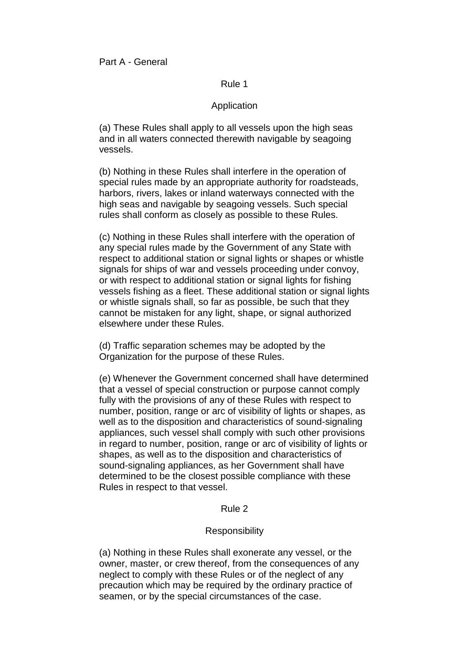Part A - General

# Rule 1

# Application

(a) These Rules shall apply to all vessels upon the high seas and in all waters connected therewith navigable by seagoing vessels.

(b) Nothing in these Rules shall interfere in the operation of special rules made by an appropriate authority for roadsteads, harbors, rivers, lakes or inland waterways connected with the high seas and navigable by seagoing vessels. Such special rules shall conform as closely as possible to these Rules.

(c) Nothing in these Rules shall interfere with the operation of any special rules made by the Government of any State with respect to additional station or signal lights or shapes or whistle signals for ships of war and vessels proceeding under convoy, or with respect to additional station or signal lights for fishing vessels fishing as a fleet. These additional station or signal lights or whistle signals shall, so far as possible, be such that they cannot be mistaken for any light, shape, or signal authorized elsewhere under these Rules.

(d) Traffic separation schemes may be adopted by the Organization for the purpose of these Rules.

(e) Whenever the Government concerned shall have determined that a vessel of special construction or purpose cannot comply fully with the provisions of any of these Rules with respect to number, position, range or arc of visibility of lights or shapes, as well as to the disposition and characteristics of sound-signaling appliances, such vessel shall comply with such other provisions in regard to number, position, range or arc of visibility of lights or shapes, as well as to the disposition and characteristics of sound-signaling appliances, as her Government shall have determined to be the closest possible compliance with these Rules in respect to that vessel.

# Rule 2

# Responsibility

(a) Nothing in these Rules shall exonerate any vessel, or the owner, master, or crew thereof, from the consequences of any neglect to comply with these Rules or of the neglect of any precaution which may be required by the ordinary practice of seamen, or by the special circumstances of the case.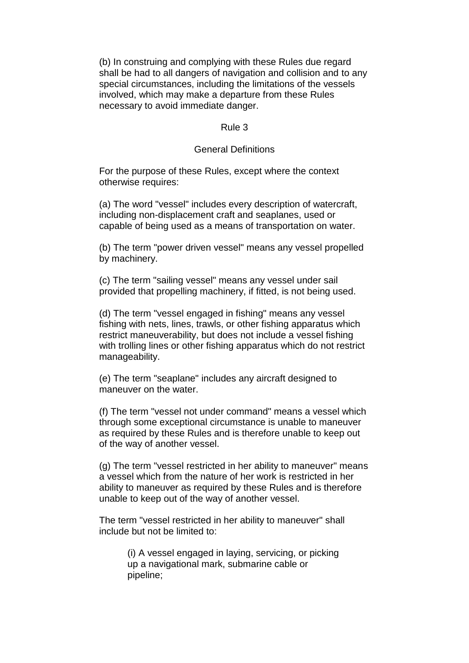(b) In construing and complying with these Rules due regard shall be had to all dangers of navigation and collision and to any special circumstances, including the limitations of the vessels involved, which may make a departure from these Rules necessary to avoid immediate danger.

### Rule 3

### General Definitions

For the purpose of these Rules, except where the context otherwise requires:

(a) The word "vessel" includes every description of watercraft, including non-displacement craft and seaplanes, used or capable of being used as a means of transportation on water.

(b) The term "power driven vessel" means any vessel propelled by machinery.

(c) The term "sailing vessel" means any vessel under sail provided that propelling machinery, if fitted, is not being used.

(d) The term "vessel engaged in fishing" means any vessel fishing with nets, lines, trawls, or other fishing apparatus which restrict maneuverability, but does not include a vessel fishing with trolling lines or other fishing apparatus which do not restrict manageability.

(e) The term "seaplane" includes any aircraft designed to maneuver on the water.

(f) The term "vessel not under command" means a vessel which through some exceptional circumstance is unable to maneuver as required by these Rules and is therefore unable to keep out of the way of another vessel.

(g) The term "vessel restricted in her ability to maneuver" means a vessel which from the nature of her work is restricted in her ability to maneuver as required by these Rules and is therefore unable to keep out of the way of another vessel.

The term "vessel restricted in her ability to maneuver" shall include but not be limited to:

> (i) A vessel engaged in laying, servicing, or picking up a navigational mark, submarine cable or pipeline;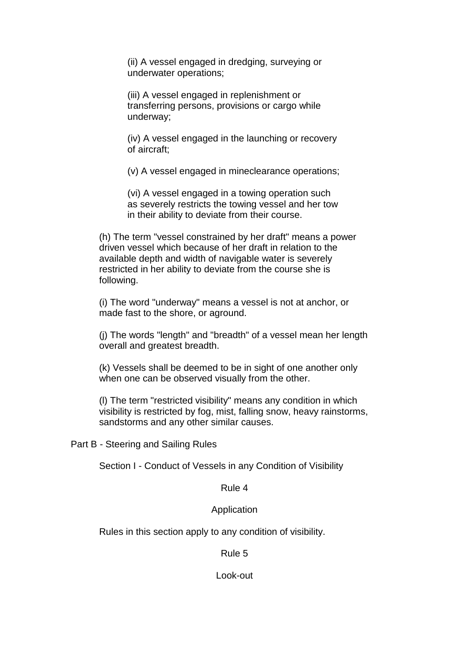(ii) A vessel engaged in dredging, surveying or underwater operations;

(iii) A vessel engaged in replenishment or transferring persons, provisions or cargo while underway;

(iv) A vessel engaged in the launching or recovery of aircraft;

(v) A vessel engaged in mineclearance operations;

(vi) A vessel engaged in a towing operation such as severely restricts the towing vessel and her tow in their ability to deviate from their course.

(h) The term "vessel constrained by her draft" means a power driven vessel which because of her draft in relation to the available depth and width of navigable water is severely restricted in her ability to deviate from the course she is following.

(i) The word "underway" means a vessel is not at anchor, or made fast to the shore, or aground.

(j) The words "length" and "breadth" of a vessel mean her length overall and greatest breadth.

(k) Vessels shall be deemed to be in sight of one another only when one can be observed visually from the other.

(l) The term "restricted visibility" means any condition in which visibility is restricted by fog, mist, falling snow, heavy rainstorms, sandstorms and any other similar causes.

Part B - Steering and Sailing Rules

Section I - Conduct of Vessels in any Condition of Visibility

# Rule 4

# Application

Rules in this section apply to any condition of visibility.

Rule 5

Look-out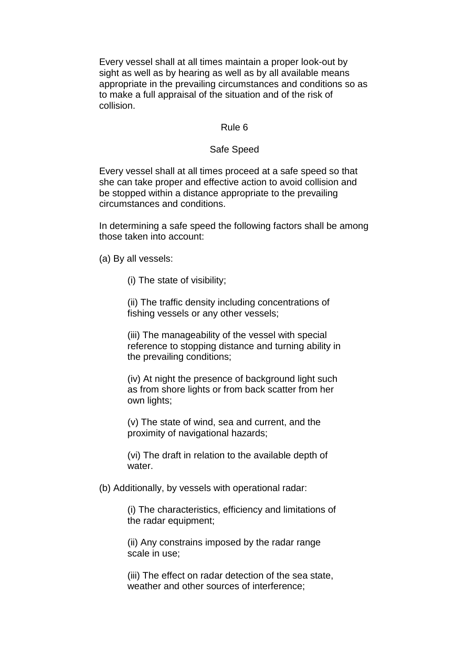Every vessel shall at all times maintain a proper look-out by sight as well as by hearing as well as by all available means appropriate in the prevailing circumstances and conditions so as to make a full appraisal of the situation and of the risk of collision.

# Rule 6

#### Safe Speed

Every vessel shall at all times proceed at a safe speed so that she can take proper and effective action to avoid collision and be stopped within a distance appropriate to the prevailing circumstances and conditions.

In determining a safe speed the following factors shall be among those taken into account:

(a) By all vessels:

(i) The state of visibility;

(ii) The traffic density including concentrations of fishing vessels or any other vessels;

(iii) The manageability of the vessel with special reference to stopping distance and turning ability in the prevailing conditions;

(iv) At night the presence of background light such as from shore lights or from back scatter from her own lights;

(v) The state of wind, sea and current, and the proximity of navigational hazards;

(vi) The draft in relation to the available depth of water.

(b) Additionally, by vessels with operational radar:

(i) The characteristics, efficiency and limitations of the radar equipment;

(ii) Any constrains imposed by the radar range scale in use;

(iii) The effect on radar detection of the sea state, weather and other sources of interference;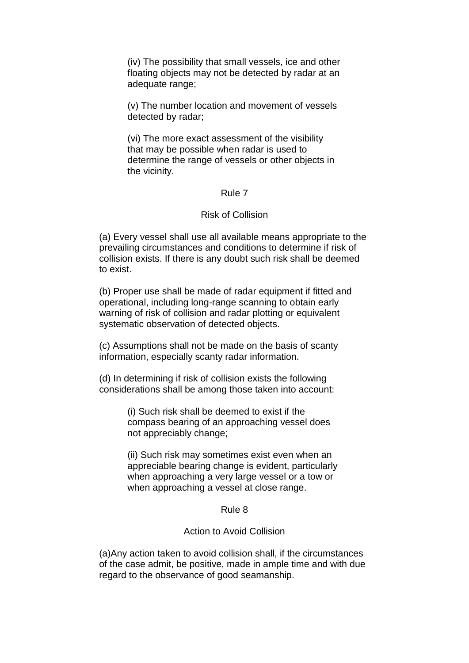(iv) The possibility that small vessels, ice and other floating objects may not be detected by radar at an adequate range;

(v) The number location and movement of vessels detected by radar;

(vi) The more exact assessment of the visibility that may be possible when radar is used to determine the range of vessels or other objects in the vicinity.

# Rule 7

## Risk of Collision

(a) Every vessel shall use all available means appropriate to the prevailing circumstances and conditions to determine if risk of collision exists. If there is any doubt such risk shall be deemed to exist.

(b) Proper use shall be made of radar equipment if fitted and operational, including long-range scanning to obtain early warning of risk of collision and radar plotting or equivalent systematic observation of detected objects.

(c) Assumptions shall not be made on the basis of scanty information, especially scanty radar information.

(d) In determining if risk of collision exists the following considerations shall be among those taken into account:

> (i) Such risk shall be deemed to exist if the compass bearing of an approaching vessel does not appreciably change;

(ii) Such risk may sometimes exist even when an appreciable bearing change is evident, particularly when approaching a very large vessel or a tow or when approaching a vessel at close range.

#### Rule 8

### Action to Avoid Collision

(a)Any action taken to avoid collision shall, if the circumstances of the case admit, be positive, made in ample time and with due regard to the observance of good seamanship.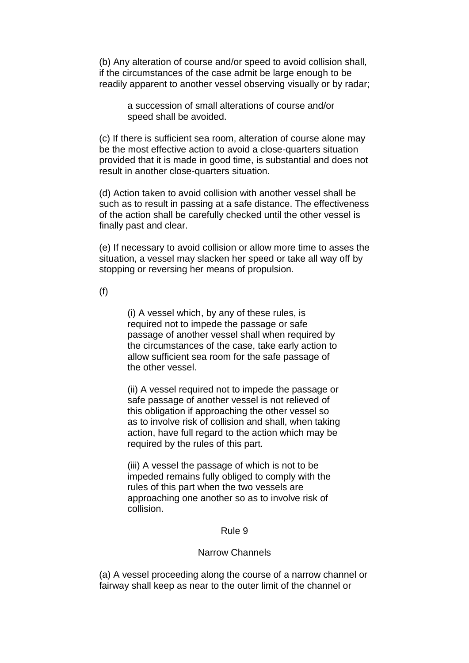(b) Any alteration of course and/or speed to avoid collision shall, if the circumstances of the case admit be large enough to be readily apparent to another vessel observing visually or by radar;

> a succession of small alterations of course and/or speed shall be avoided.

(c) If there is sufficient sea room, alteration of course alone may be the most effective action to avoid a close-quarters situation provided that it is made in good time, is substantial and does not result in another close-quarters situation.

(d) Action taken to avoid collision with another vessel shall be such as to result in passing at a safe distance. The effectiveness of the action shall be carefully checked until the other vessel is finally past and clear.

(e) If necessary to avoid collision or allow more time to asses the situation, a vessel may slacken her speed or take all way off by stopping or reversing her means of propulsion.

(f)

(i) A vessel which, by any of these rules, is required not to impede the passage or safe passage of another vessel shall when required by the circumstances of the case, take early action to allow sufficient sea room for the safe passage of the other vessel.

(ii) A vessel required not to impede the passage or safe passage of another vessel is not relieved of this obligation if approaching the other vessel so as to involve risk of collision and shall, when taking action, have full regard to the action which may be required by the rules of this part.

(iii) A vessel the passage of which is not to be impeded remains fully obliged to comply with the rules of this part when the two vessels are approaching one another so as to involve risk of collision.

# Rule 9

## Narrow Channels

(a) A vessel proceeding along the course of a narrow channel or fairway shall keep as near to the outer limit of the channel or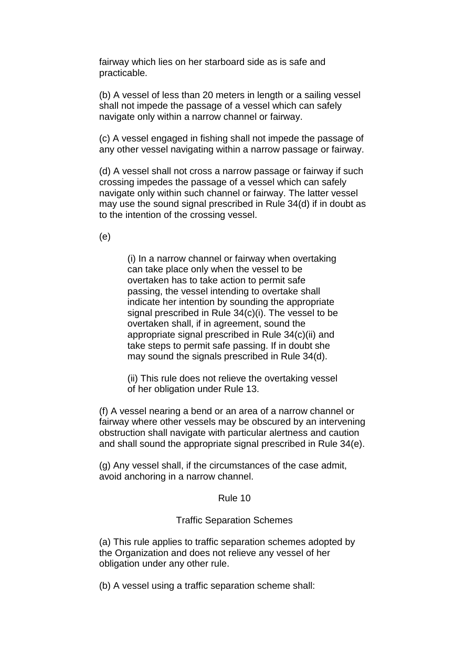fairway which lies on her starboard side as is safe and practicable.

(b) A vessel of less than 20 meters in length or a sailing vessel shall not impede the passage of a vessel which can safely navigate only within a narrow channel or fairway.

(c) A vessel engaged in fishing shall not impede the passage of any other vessel navigating within a narrow passage or fairway.

(d) A vessel shall not cross a narrow passage or fairway if such crossing impedes the passage of a vessel which can safely navigate only within such channel or fairway. The latter vessel may use the sound signal prescribed in Rule 34(d) if in doubt as to the intention of the crossing vessel.

(e)

(i) In a narrow channel or fairway when overtaking can take place only when the vessel to be overtaken has to take action to permit safe passing, the vessel intending to overtake shall indicate her intention by sounding the appropriate signal prescribed in Rule 34(c)(i). The vessel to be overtaken shall, if in agreement, sound the appropriate signal prescribed in Rule 34(c)(ii) and take steps to permit safe passing. If in doubt she may sound the signals prescribed in Rule 34(d).

(ii) This rule does not relieve the overtaking vessel of her obligation under Rule 13.

(f) A vessel nearing a bend or an area of a narrow channel or fairway where other vessels may be obscured by an intervening obstruction shall navigate with particular alertness and caution and shall sound the appropriate signal prescribed in Rule 34(e).

(g) Any vessel shall, if the circumstances of the case admit, avoid anchoring in a narrow channel.

# Rule 10

# Traffic Separation Schemes

(a) This rule applies to traffic separation schemes adopted by the Organization and does not relieve any vessel of her obligation under any other rule.

(b) A vessel using a traffic separation scheme shall: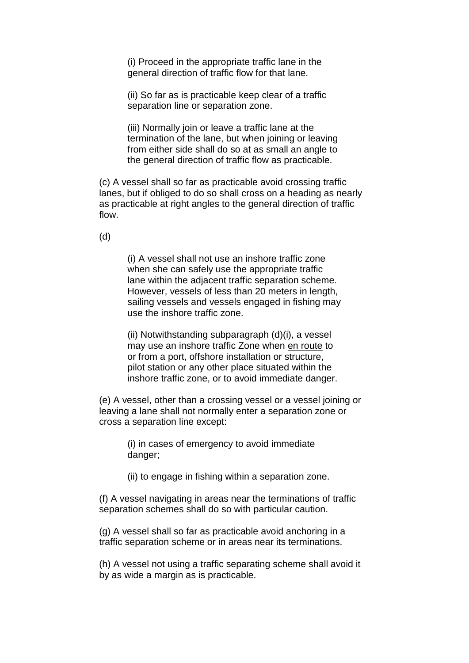(i) Proceed in the appropriate traffic lane in the general direction of traffic flow for that lane.

(ii) So far as is practicable keep clear of a traffic separation line or separation zone.

(iii) Normally join or leave a traffic lane at the termination of the lane, but when joining or leaving from either side shall do so at as small an angle to the general direction of traffic flow as practicable.

(c) A vessel shall so far as practicable avoid crossing traffic lanes, but if obliged to do so shall cross on a heading as nearly as practicable at right angles to the general direction of traffic flow.

(d)

(i) A vessel shall not use an inshore traffic zone when she can safely use the appropriate traffic lane within the adjacent traffic separation scheme. However, vessels of less than 20 meters in length, sailing vessels and vessels engaged in fishing may use the inshore traffic zone.

(ii) Notwithstanding subparagraph (d)(i), a vessel may use an inshore traffic Zone when en route to or from a port, offshore installation or structure, pilot station or any other place situated within the inshore traffic zone, or to avoid immediate danger.

(e) A vessel, other than a crossing vessel or a vessel joining or leaving a lane shall not normally enter a separation zone or cross a separation line except:

> (i) in cases of emergency to avoid immediate danger;

(ii) to engage in fishing within a separation zone.

(f) A vessel navigating in areas near the terminations of traffic separation schemes shall do so with particular caution.

(g) A vessel shall so far as practicable avoid anchoring in a traffic separation scheme or in areas near its terminations.

(h) A vessel not using a traffic separating scheme shall avoid it by as wide a margin as is practicable.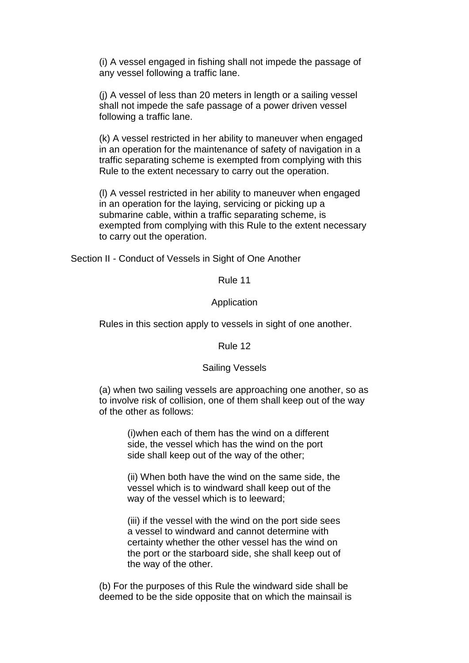(i) A vessel engaged in fishing shall not impede the passage of any vessel following a traffic lane.

(j) A vessel of less than 20 meters in length or a sailing vessel shall not impede the safe passage of a power driven vessel following a traffic lane.

(k) A vessel restricted in her ability to maneuver when engaged in an operation for the maintenance of safety of navigation in a traffic separating scheme is exempted from complying with this Rule to the extent necessary to carry out the operation.

(l) A vessel restricted in her ability to maneuver when engaged in an operation for the laying, servicing or picking up a submarine cable, within a traffic separating scheme, is exempted from complying with this Rule to the extent necessary to carry out the operation.

Section II - Conduct of Vessels in Sight of One Another

Rule 11

# Application

Rules in this section apply to vessels in sight of one another.

# Rule 12

# Sailing Vessels

(a) when two sailing vessels are approaching one another, so as to involve risk of collision, one of them shall keep out of the way of the other as follows:

> (i)when each of them has the wind on a different side, the vessel which has the wind on the port side shall keep out of the way of the other;

(ii) When both have the wind on the same side, the vessel which is to windward shall keep out of the way of the vessel which is to leeward;

(iii) if the vessel with the wind on the port side sees a vessel to windward and cannot determine with certainty whether the other vessel has the wind on the port or the starboard side, she shall keep out of the way of the other.

(b) For the purposes of this Rule the windward side shall be deemed to be the side opposite that on which the mainsail is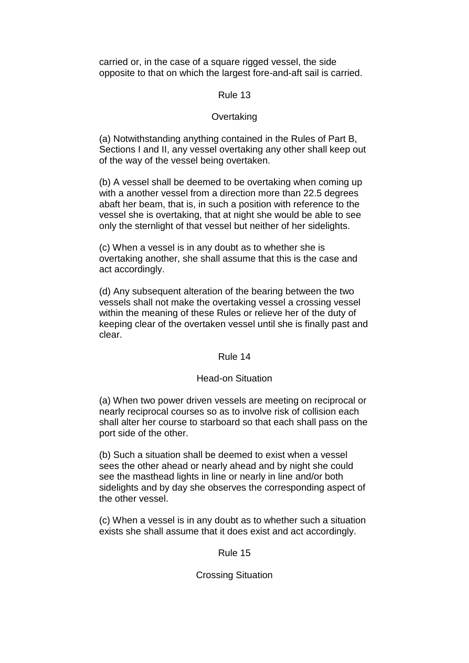carried or, in the case of a square rigged vessel, the side opposite to that on which the largest fore-and-aft sail is carried.

# Rule 13

# **Overtaking**

(a) Notwithstanding anything contained in the Rules of Part B, Sections I and II, any vessel overtaking any other shall keep out of the way of the vessel being overtaken.

(b) A vessel shall be deemed to be overtaking when coming up with a another vessel from a direction more than 22.5 degrees abaft her beam, that is, in such a position with reference to the vessel she is overtaking, that at night she would be able to see only the sternlight of that vessel but neither of her sidelights.

(c) When a vessel is in any doubt as to whether she is overtaking another, she shall assume that this is the case and act accordingly.

(d) Any subsequent alteration of the bearing between the two vessels shall not make the overtaking vessel a crossing vessel within the meaning of these Rules or relieve her of the duty of keeping clear of the overtaken vessel until she is finally past and clear.

# Rule 14

# Head-on Situation

(a) When two power driven vessels are meeting on reciprocal or nearly reciprocal courses so as to involve risk of collision each shall alter her course to starboard so that each shall pass on the port side of the other.

(b) Such a situation shall be deemed to exist when a vessel sees the other ahead or nearly ahead and by night she could see the masthead lights in line or nearly in line and/or both sidelights and by day she observes the corresponding aspect of the other vessel.

(c) When a vessel is in any doubt as to whether such a situation exists she shall assume that it does exist and act accordingly.

Rule 15

Crossing Situation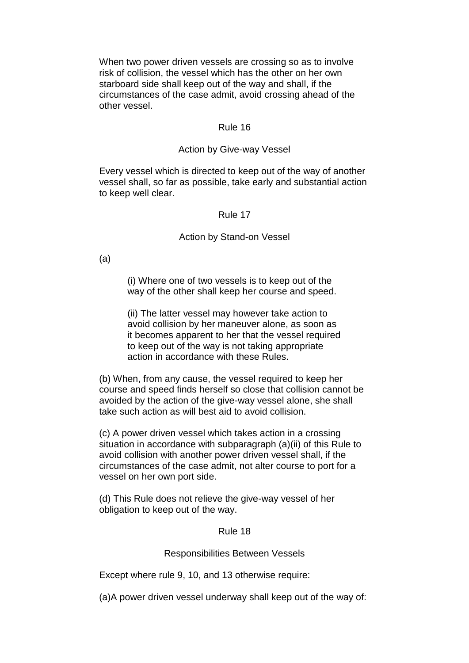When two power driven vessels are crossing so as to involve risk of collision, the vessel which has the other on her own starboard side shall keep out of the way and shall, if the circumstances of the case admit, avoid crossing ahead of the other vessel.

# Rule 16

#### Action by Give-way Vessel

Every vessel which is directed to keep out of the way of another vessel shall, so far as possible, take early and substantial action to keep well clear.

### Rule 17

#### Action by Stand-on Vessel

(a)

(i) Where one of two vessels is to keep out of the way of the other shall keep her course and speed.

(ii) The latter vessel may however take action to avoid collision by her maneuver alone, as soon as it becomes apparent to her that the vessel required to keep out of the way is not taking appropriate action in accordance with these Rules.

(b) When, from any cause, the vessel required to keep her course and speed finds herself so close that collision cannot be avoided by the action of the give-way vessel alone, she shall take such action as will best aid to avoid collision.

(c) A power driven vessel which takes action in a crossing situation in accordance with subparagraph (a)(ii) of this Rule to avoid collision with another power driven vessel shall, if the circumstances of the case admit, not alter course to port for a vessel on her own port side.

(d) This Rule does not relieve the give-way vessel of her obligation to keep out of the way.

# Rule 18

#### Responsibilities Between Vessels

Except where rule 9, 10, and 13 otherwise require:

(a)A power driven vessel underway shall keep out of the way of: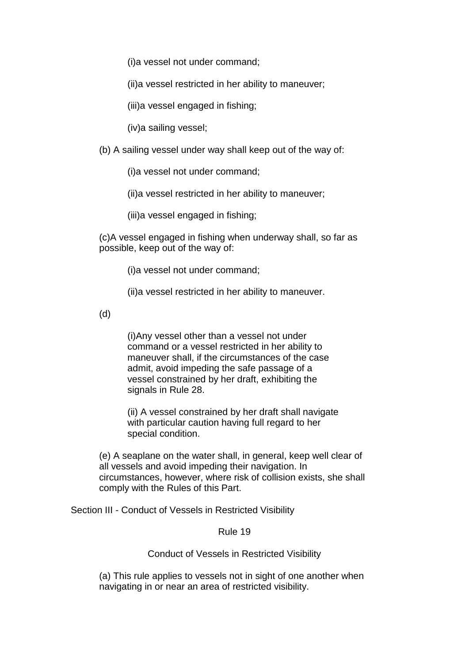(i)a vessel not under command;

(ii)a vessel restricted in her ability to maneuver;

(iii)a vessel engaged in fishing;

(iv)a sailing vessel;

(b) A sailing vessel under way shall keep out of the way of:

(i)a vessel not under command;

(ii)a vessel restricted in her ability to maneuver;

(iii)a vessel engaged in fishing;

(c)A vessel engaged in fishing when underway shall, so far as possible, keep out of the way of:

(i)a vessel not under command;

(ii)a vessel restricted in her ability to maneuver.

(d)

(i)Any vessel other than a vessel not under command or a vessel restricted in her ability to maneuver shall, if the circumstances of the case admit, avoid impeding the safe passage of a vessel constrained by her draft, exhibiting the signals in Rule 28.

(ii) A vessel constrained by her draft shall navigate with particular caution having full regard to her special condition.

(e) A seaplane on the water shall, in general, keep well clear of all vessels and avoid impeding their navigation. In circumstances, however, where risk of collision exists, she shall comply with the Rules of this Part.

Section III - Conduct of Vessels in Restricted Visibility

# Rule 19

# Conduct of Vessels in Restricted Visibility

(a) This rule applies to vessels not in sight of one another when navigating in or near an area of restricted visibility.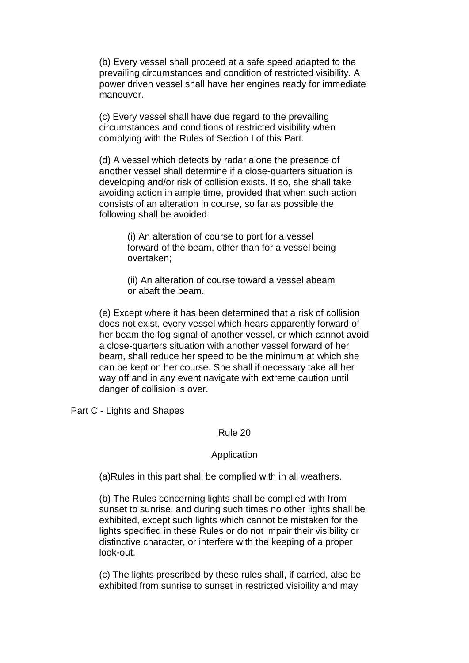(b) Every vessel shall proceed at a safe speed adapted to the prevailing circumstances and condition of restricted visibility. A power driven vessel shall have her engines ready for immediate maneuver.

(c) Every vessel shall have due regard to the prevailing circumstances and conditions of restricted visibility when complying with the Rules of Section I of this Part.

(d) A vessel which detects by radar alone the presence of another vessel shall determine if a close-quarters situation is developing and/or risk of collision exists. If so, she shall take avoiding action in ample time, provided that when such action consists of an alteration in course, so far as possible the following shall be avoided:

> (i) An alteration of course to port for a vessel forward of the beam, other than for a vessel being overtaken;

> (ii) An alteration of course toward a vessel abeam or abaft the beam.

(e) Except where it has been determined that a risk of collision does not exist, every vessel which hears apparently forward of her beam the fog signal of another vessel, or which cannot avoid a close-quarters situation with another vessel forward of her beam, shall reduce her speed to be the minimum at which she can be kept on her course. She shall if necessary take all her way off and in any event navigate with extreme caution until danger of collision is over.

Part C - Lights and Shapes

# Rule 20

#### Application

(a)Rules in this part shall be complied with in all weathers.

(b) The Rules concerning lights shall be complied with from sunset to sunrise, and during such times no other lights shall be exhibited, except such lights which cannot be mistaken for the lights specified in these Rules or do not impair their visibility or distinctive character, or interfere with the keeping of a proper look-out.

(c) The lights prescribed by these rules shall, if carried, also be exhibited from sunrise to sunset in restricted visibility and may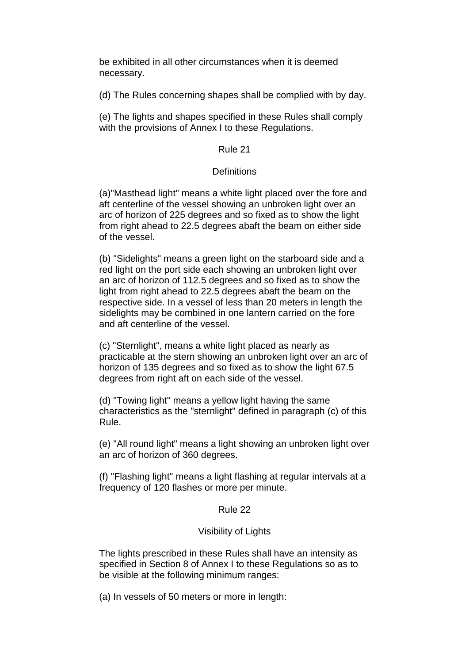be exhibited in all other circumstances when it is deemed necessary.

(d) The Rules concerning shapes shall be complied with by day.

(e) The lights and shapes specified in these Rules shall comply with the provisions of Annex I to these Regulations.

# Rule 21

# **Definitions**

(a)"Masthead light" means a white light placed over the fore and aft centerline of the vessel showing an unbroken light over an arc of horizon of 225 degrees and so fixed as to show the light from right ahead to 22.5 degrees abaft the beam on either side of the vessel.

(b) "Sidelights" means a green light on the starboard side and a red light on the port side each showing an unbroken light over an arc of horizon of 112.5 degrees and so fixed as to show the light from right ahead to 22.5 degrees abaft the beam on the respective side. In a vessel of less than 20 meters in length the sidelights may be combined in one lantern carried on the fore and aft centerline of the vessel.

(c) "Sternlight", means a white light placed as nearly as practicable at the stern showing an unbroken light over an arc of horizon of 135 degrees and so fixed as to show the light 67.5 degrees from right aft on each side of the vessel.

(d) "Towing light" means a yellow light having the same characteristics as the "sternlight" defined in paragraph (c) of this Rule.

(e) "All round light" means a light showing an unbroken light over an arc of horizon of 360 degrees.

(f) "Flashing light" means a light flashing at regular intervals at a frequency of 120 flashes or more per minute.

# Rule 22

# Visibility of Lights

The lights prescribed in these Rules shall have an intensity as specified in Section 8 of Annex I to these Regulations so as to be visible at the following minimum ranges:

(a) In vessels of 50 meters or more in length: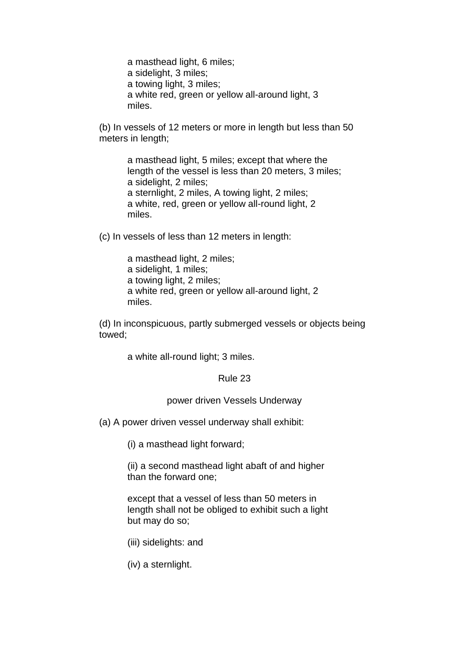a masthead light, 6 miles; a sidelight, 3 miles; a towing light, 3 miles; a white red, green or yellow all-around light, 3 miles.

(b) In vessels of 12 meters or more in length but less than 50 meters in length;

> a masthead light, 5 miles; except that where the length of the vessel is less than 20 meters, 3 miles; a sidelight, 2 miles; a sternlight, 2 miles, A towing light, 2 miles; a white, red, green or yellow all-round light, 2 miles.

(c) In vessels of less than 12 meters in length:

a masthead light, 2 miles; a sidelight, 1 miles; a towing light, 2 miles; a white red, green or yellow all-around light, 2 miles.

(d) In inconspicuous, partly submerged vessels or objects being towed;

a white all-round light; 3 miles.

### Rule 23

# power driven Vessels Underway

(a) A power driven vessel underway shall exhibit:

(i) a masthead light forward;

(ii) a second masthead light abaft of and higher than the forward one;

except that a vessel of less than 50 meters in length shall not be obliged to exhibit such a light but may do so;

(iii) sidelights: and

(iv) a sternlight.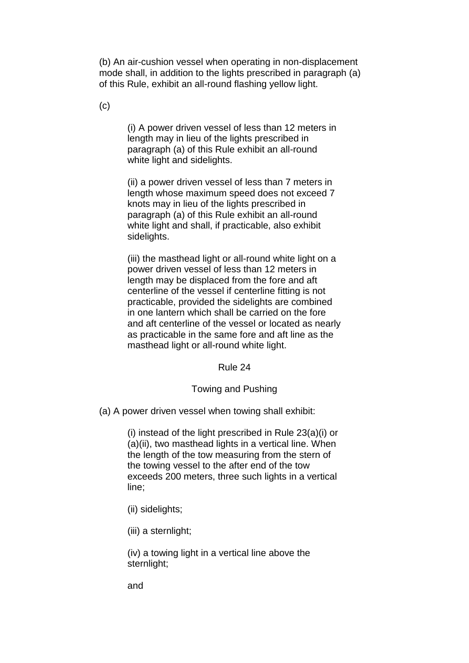(b) An air-cushion vessel when operating in non-displacement mode shall, in addition to the lights prescribed in paragraph (a) of this Rule, exhibit an all-round flashing yellow light.

(c)

(i) A power driven vessel of less than 12 meters in length may in lieu of the lights prescribed in paragraph (a) of this Rule exhibit an all-round white light and sidelights.

(ii) a power driven vessel of less than 7 meters in length whose maximum speed does not exceed 7 knots may in lieu of the lights prescribed in paragraph (a) of this Rule exhibit an all-round white light and shall, if practicable, also exhibit sidelights.

(iii) the masthead light or all-round white light on a power driven vessel of less than 12 meters in length may be displaced from the fore and aft centerline of the vessel if centerline fitting is not practicable, provided the sidelights are combined in one lantern which shall be carried on the fore and aft centerline of the vessel or located as nearly as practicable in the same fore and aft line as the masthead light or all-round white light.

Rule 24

# Towing and Pushing

(a) A power driven vessel when towing shall exhibit:

(i) instead of the light prescribed in Rule 23(a)(i) or (a)(ii), two masthead lights in a vertical line. When the length of the tow measuring from the stern of the towing vessel to the after end of the tow exceeds 200 meters, three such lights in a vertical line;

(ii) sidelights;

(iii) a sternlight;

(iv) a towing light in a vertical line above the sternlight;

and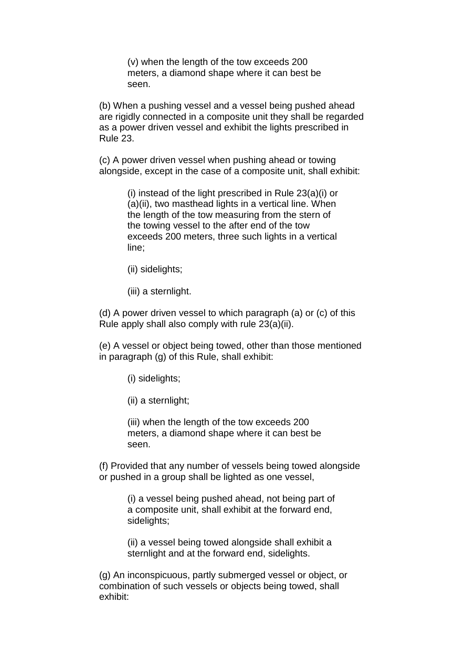(v) when the length of the tow exceeds 200 meters, a diamond shape where it can best be seen.

(b) When a pushing vessel and a vessel being pushed ahead are rigidly connected in a composite unit they shall be regarded as a power driven vessel and exhibit the lights prescribed in Rule 23.

(c) A power driven vessel when pushing ahead or towing alongside, except in the case of a composite unit, shall exhibit:

> (i) instead of the light prescribed in Rule 23(a)(i) or (a)(ii), two masthead lights in a vertical line. When the length of the tow measuring from the stern of the towing vessel to the after end of the tow exceeds 200 meters, three such lights in a vertical line;

(ii) sidelights;

(iii) a sternlight.

(d) A power driven vessel to which paragraph (a) or (c) of this Rule apply shall also comply with rule 23(a)(ii).

(e) A vessel or object being towed, other than those mentioned in paragraph (g) of this Rule, shall exhibit:

(i) sidelights;

(ii) a sternlight;

(iii) when the length of the tow exceeds 200 meters, a diamond shape where it can best be seen.

(f) Provided that any number of vessels being towed alongside or pushed in a group shall be lighted as one vessel,

> (i) a vessel being pushed ahead, not being part of a composite unit, shall exhibit at the forward end, sidelights;

(ii) a vessel being towed alongside shall exhibit a sternlight and at the forward end, sidelights.

(g) An inconspicuous, partly submerged vessel or object, or combination of such vessels or objects being towed, shall exhibit: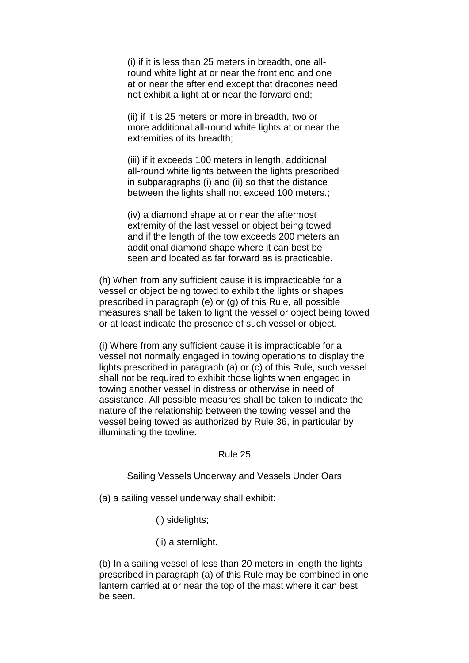(i) if it is less than 25 meters in breadth, one allround white light at or near the front end and one at or near the after end except that dracones need not exhibit a light at or near the forward end;

(ii) if it is 25 meters or more in breadth, two or more additional all-round white lights at or near the extremities of its breadth;

(iii) if it exceeds 100 meters in length, additional all-round white lights between the lights prescribed in subparagraphs (i) and (ii) so that the distance between the lights shall not exceed 100 meters.;

(iv) a diamond shape at or near the aftermost extremity of the last vessel or object being towed and if the length of the tow exceeds 200 meters an additional diamond shape where it can best be seen and located as far forward as is practicable.

(h) When from any sufficient cause it is impracticable for a vessel or object being towed to exhibit the lights or shapes prescribed in paragraph (e) or (g) of this Rule, all possible measures shall be taken to light the vessel or object being towed or at least indicate the presence of such vessel or object.

(i) Where from any sufficient cause it is impracticable for a vessel not normally engaged in towing operations to display the lights prescribed in paragraph (a) or (c) of this Rule, such vessel shall not be required to exhibit those lights when engaged in towing another vessel in distress or otherwise in need of assistance. All possible measures shall be taken to indicate the nature of the relationship between the towing vessel and the vessel being towed as authorized by Rule 36, in particular by illuminating the towline.

#### Rule 25

Sailing Vessels Underway and Vessels Under Oars

(a) a sailing vessel underway shall exhibit:

### (i) sidelights;

(ii) a sternlight.

(b) In a sailing vessel of less than 20 meters in length the lights prescribed in paragraph (a) of this Rule may be combined in one lantern carried at or near the top of the mast where it can best be seen.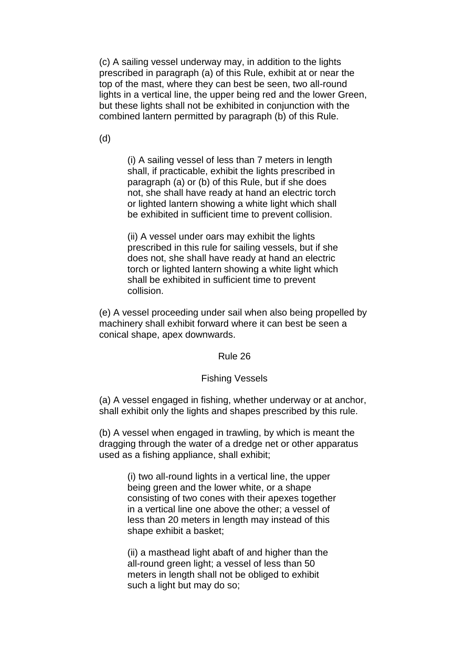(c) A sailing vessel underway may, in addition to the lights prescribed in paragraph (a) of this Rule, exhibit at or near the top of the mast, where they can best be seen, two all-round lights in a vertical line, the upper being red and the lower Green, but these lights shall not be exhibited in conjunction with the combined lantern permitted by paragraph (b) of this Rule.

(d)

(i) A sailing vessel of less than 7 meters in length shall, if practicable, exhibit the lights prescribed in paragraph (a) or (b) of this Rule, but if she does not, she shall have ready at hand an electric torch or lighted lantern showing a white light which shall be exhibited in sufficient time to prevent collision.

(ii) A vessel under oars may exhibit the lights prescribed in this rule for sailing vessels, but if she does not, she shall have ready at hand an electric torch or lighted lantern showing a white light which shall be exhibited in sufficient time to prevent collision.

(e) A vessel proceeding under sail when also being propelled by machinery shall exhibit forward where it can best be seen a conical shape, apex downwards.

Rule 26

# Fishing Vessels

(a) A vessel engaged in fishing, whether underway or at anchor, shall exhibit only the lights and shapes prescribed by this rule.

(b) A vessel when engaged in trawling, by which is meant the dragging through the water of a dredge net or other apparatus used as a fishing appliance, shall exhibit;

> (i) two all-round lights in a vertical line, the upper being green and the lower white, or a shape consisting of two cones with their apexes together in a vertical line one above the other; a vessel of less than 20 meters in length may instead of this shape exhibit a basket;

(ii) a masthead light abaft of and higher than the all-round green light; a vessel of less than 50 meters in length shall not be obliged to exhibit such a light but may do so;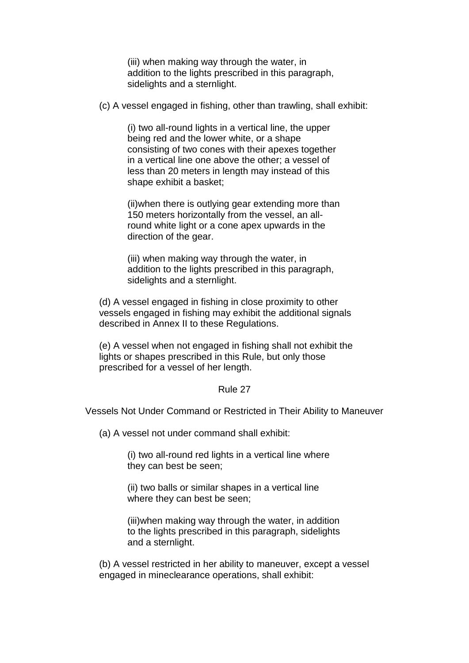(iii) when making way through the water, in addition to the lights prescribed in this paragraph, sidelights and a sternlight.

(c) A vessel engaged in fishing, other than trawling, shall exhibit:

(i) two all-round lights in a vertical line, the upper being red and the lower white, or a shape consisting of two cones with their apexes together in a vertical line one above the other; a vessel of less than 20 meters in length may instead of this shape exhibit a basket;

(ii)when there is outlying gear extending more than 150 meters horizontally from the vessel, an allround white light or a cone apex upwards in the direction of the gear.

(iii) when making way through the water, in addition to the lights prescribed in this paragraph, sidelights and a sternlight.

(d) A vessel engaged in fishing in close proximity to other vessels engaged in fishing may exhibit the additional signals described in Annex II to these Regulations.

(e) A vessel when not engaged in fishing shall not exhibit the lights or shapes prescribed in this Rule, but only those prescribed for a vessel of her length.

#### Rule 27

Vessels Not Under Command or Restricted in Their Ability to Maneuver

(a) A vessel not under command shall exhibit:

(i) two all-round red lights in a vertical line where they can best be seen;

(ii) two balls or similar shapes in a vertical line where they can best be seen;

(iii)when making way through the water, in addition to the lights prescribed in this paragraph, sidelights and a sternlight.

(b) A vessel restricted in her ability to maneuver, except a vessel engaged in mineclearance operations, shall exhibit: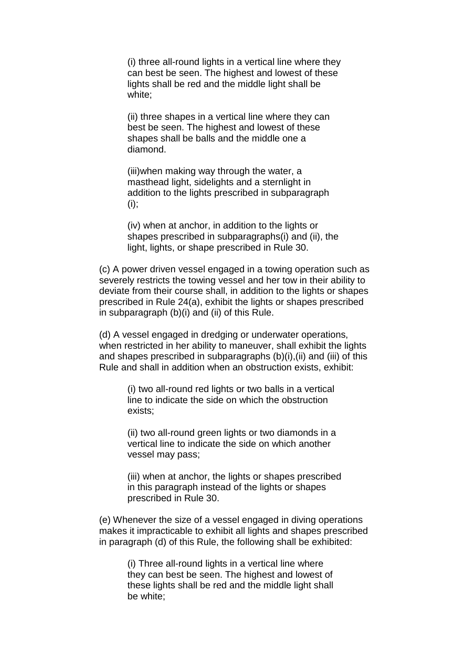(i) three all-round lights in a vertical line where they can best be seen. The highest and lowest of these lights shall be red and the middle light shall be white;

(ii) three shapes in a vertical line where they can best be seen. The highest and lowest of these shapes shall be balls and the middle one a diamond.

(iii)when making way through the water, a masthead light, sidelights and a sternlight in addition to the lights prescribed in subparagraph (i);

(iv) when at anchor, in addition to the lights or shapes prescribed in subparagraphs(i) and (ii), the light, lights, or shape prescribed in Rule 30.

(c) A power driven vessel engaged in a towing operation such as severely restricts the towing vessel and her tow in their ability to deviate from their course shall, in addition to the lights or shapes prescribed in Rule 24(a), exhibit the lights or shapes prescribed in subparagraph (b)(i) and (ii) of this Rule.

(d) A vessel engaged in dredging or underwater operations, when restricted in her ability to maneuver, shall exhibit the lights and shapes prescribed in subparagraphs (b)(i),(ii) and (iii) of this Rule and shall in addition when an obstruction exists, exhibit:

> (i) two all-round red lights or two balls in a vertical line to indicate the side on which the obstruction exists;

> (ii) two all-round green lights or two diamonds in a vertical line to indicate the side on which another vessel may pass;

(iii) when at anchor, the lights or shapes prescribed in this paragraph instead of the lights or shapes prescribed in Rule 30.

(e) Whenever the size of a vessel engaged in diving operations makes it impracticable to exhibit all lights and shapes prescribed in paragraph (d) of this Rule, the following shall be exhibited:

> (i) Three all-round lights in a vertical line where they can best be seen. The highest and lowest of these lights shall be red and the middle light shall be white;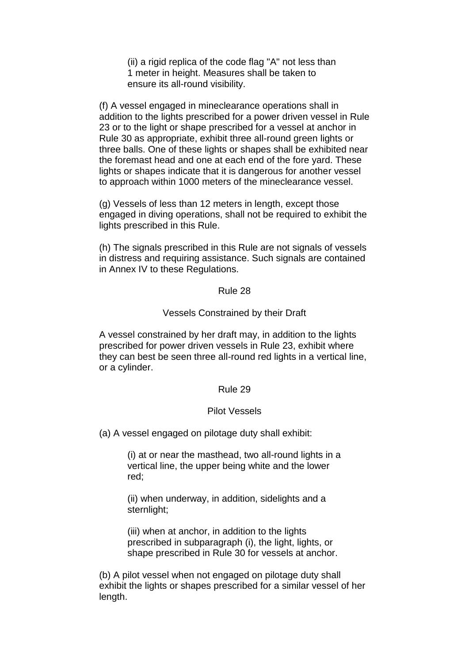(ii) a rigid replica of the code flag "A" not less than 1 meter in height. Measures shall be taken to ensure its all-round visibility.

(f) A vessel engaged in mineclearance operations shall in addition to the lights prescribed for a power driven vessel in Rule 23 or to the light or shape prescribed for a vessel at anchor in Rule 30 as appropriate, exhibit three all-round green lights or three balls. One of these lights or shapes shall be exhibited near the foremast head and one at each end of the fore yard. These lights or shapes indicate that it is dangerous for another vessel to approach within 1000 meters of the mineclearance vessel.

(g) Vessels of less than 12 meters in length, except those engaged in diving operations, shall not be required to exhibit the lights prescribed in this Rule.

(h) The signals prescribed in this Rule are not signals of vessels in distress and requiring assistance. Such signals are contained in Annex IV to these Regulations.

## Rule 28

#### Vessels Constrained by their Draft

A vessel constrained by her draft may, in addition to the lights prescribed for power driven vessels in Rule 23, exhibit where they can best be seen three all-round red lights in a vertical line, or a cylinder.

#### Rule 29

### Pilot Vessels

(a) A vessel engaged on pilotage duty shall exhibit:

(i) at or near the masthead, two all-round lights in a vertical line, the upper being white and the lower red;

(ii) when underway, in addition, sidelights and a sternlight;

(iii) when at anchor, in addition to the lights prescribed in subparagraph (i), the light, lights, or shape prescribed in Rule 30 for vessels at anchor.

(b) A pilot vessel when not engaged on pilotage duty shall exhibit the lights or shapes prescribed for a similar vessel of her length.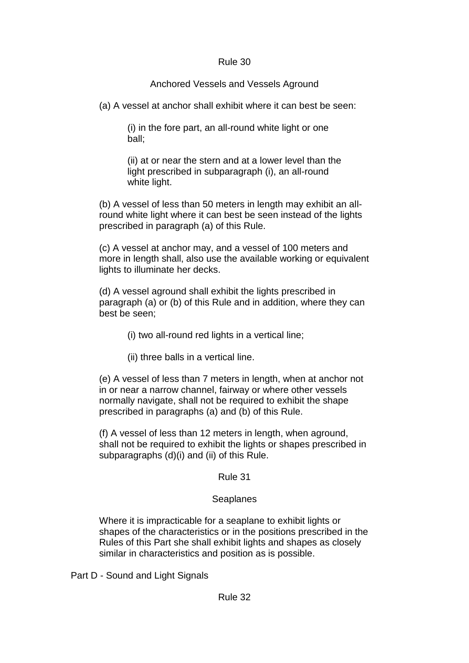# Rule 30

# Anchored Vessels and Vessels Aground

(a) A vessel at anchor shall exhibit where it can best be seen:

(i) in the fore part, an all-round white light or one ball;

(ii) at or near the stern and at a lower level than the light prescribed in subparagraph (i), an all-round white light.

(b) A vessel of less than 50 meters in length may exhibit an allround white light where it can best be seen instead of the lights prescribed in paragraph (a) of this Rule.

(c) A vessel at anchor may, and a vessel of 100 meters and more in length shall, also use the available working or equivalent lights to illuminate her decks.

(d) A vessel aground shall exhibit the lights prescribed in paragraph (a) or (b) of this Rule and in addition, where they can best be seen;

- (i) two all-round red lights in a vertical line;
- (ii) three balls in a vertical line.

(e) A vessel of less than 7 meters in length, when at anchor not in or near a narrow channel, fairway or where other vessels normally navigate, shall not be required to exhibit the shape prescribed in paragraphs (a) and (b) of this Rule.

(f) A vessel of less than 12 meters in length, when aground, shall not be required to exhibit the lights or shapes prescribed in subparagraphs (d)(i) and (ii) of this Rule.

# Rule 31

# **Seaplanes**

Where it is impracticable for a seaplane to exhibit lights or shapes of the characteristics or in the positions prescribed in the Rules of this Part she shall exhibit lights and shapes as closely similar in characteristics and position as is possible.

Part D - Sound and Light Signals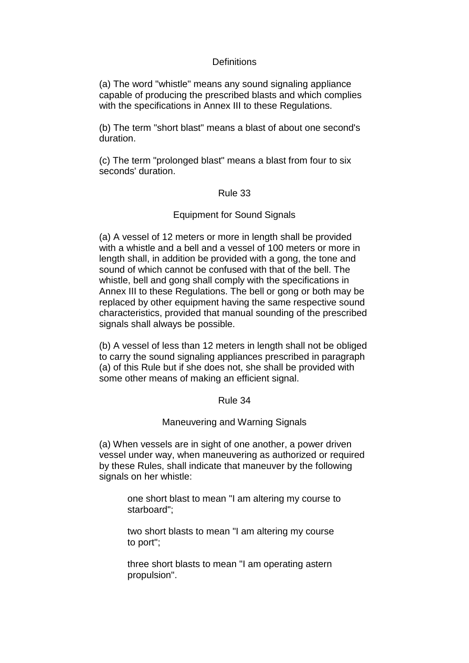# **Definitions**

(a) The word "whistle" means any sound signaling appliance capable of producing the prescribed blasts and which complies with the specifications in Annex III to these Regulations.

(b) The term "short blast" means a blast of about one second's duration.

(c) The term "prolonged blast" means a blast from four to six seconds' duration.

# Rule 33

# Equipment for Sound Signals

(a) A vessel of 12 meters or more in length shall be provided with a whistle and a bell and a vessel of 100 meters or more in length shall, in addition be provided with a gong, the tone and sound of which cannot be confused with that of the bell. The whistle, bell and gong shall comply with the specifications in Annex III to these Regulations. The bell or gong or both may be replaced by other equipment having the same respective sound characteristics, provided that manual sounding of the prescribed signals shall always be possible.

(b) A vessel of less than 12 meters in length shall not be obliged to carry the sound signaling appliances prescribed in paragraph (a) of this Rule but if she does not, she shall be provided with some other means of making an efficient signal.

# Rule 34

# Maneuvering and Warning Signals

(a) When vessels are in sight of one another, a power driven vessel under way, when maneuvering as authorized or required by these Rules, shall indicate that maneuver by the following signals on her whistle:

> one short blast to mean "I am altering my course to starboard";

two short blasts to mean "I am altering my course to port";

three short blasts to mean "I am operating astern propulsion".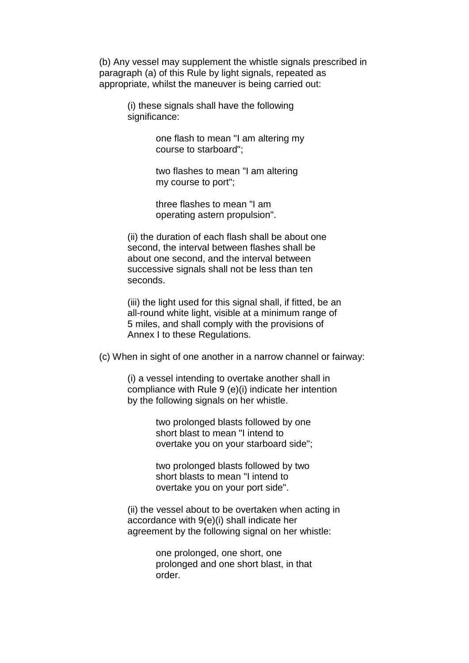(b) Any vessel may supplement the whistle signals prescribed in paragraph (a) of this Rule by light signals, repeated as appropriate, whilst the maneuver is being carried out:

> (i) these signals shall have the following significance:

> > one flash to mean "I am altering my course to starboard";

two flashes to mean "I am altering my course to port";

three flashes to mean "I am operating astern propulsion".

(ii) the duration of each flash shall be about one second, the interval between flashes shall be about one second, and the interval between successive signals shall not be less than ten seconds.

(iii) the light used for this signal shall, if fitted, be an all-round white light, visible at a minimum range of 5 miles, and shall comply with the provisions of Annex I to these Regulations.

(c) When in sight of one another in a narrow channel or fairway:

(i) a vessel intending to overtake another shall in compliance with Rule 9 (e)(i) indicate her intention by the following signals on her whistle.

> two prolonged blasts followed by one short blast to mean "I intend to overtake you on your starboard side";

two prolonged blasts followed by two short blasts to mean "I intend to overtake you on your port side".

(ii) the vessel about to be overtaken when acting in accordance with 9(e)(i) shall indicate her agreement by the following signal on her whistle:

> one prolonged, one short, one prolonged and one short blast, in that order.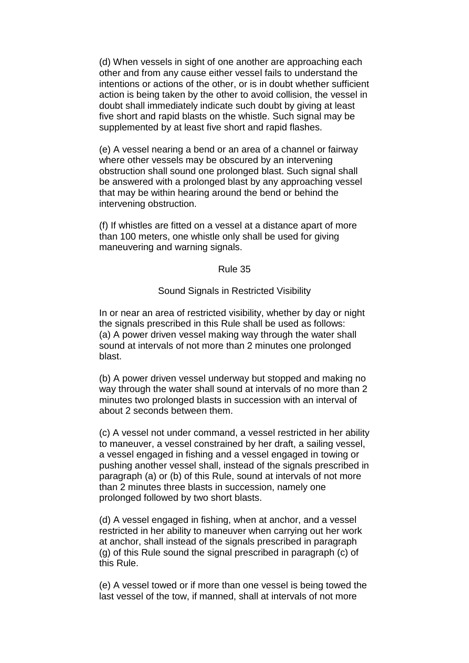(d) When vessels in sight of one another are approaching each other and from any cause either vessel fails to understand the intentions or actions of the other, or is in doubt whether sufficient action is being taken by the other to avoid collision, the vessel in doubt shall immediately indicate such doubt by giving at least five short and rapid blasts on the whistle. Such signal may be supplemented by at least five short and rapid flashes.

(e) A vessel nearing a bend or an area of a channel or fairway where other vessels may be obscured by an intervening obstruction shall sound one prolonged blast. Such signal shall be answered with a prolonged blast by any approaching vessel that may be within hearing around the bend or behind the intervening obstruction.

(f) If whistles are fitted on a vessel at a distance apart of more than 100 meters, one whistle only shall be used for giving maneuvering and warning signals.

# Rule 35

#### Sound Signals in Restricted Visibility

In or near an area of restricted visibility, whether by day or night the signals prescribed in this Rule shall be used as follows: (a) A power driven vessel making way through the water shall sound at intervals of not more than 2 minutes one prolonged blast.

(b) A power driven vessel underway but stopped and making no way through the water shall sound at intervals of no more than 2 minutes two prolonged blasts in succession with an interval of about 2 seconds between them.

(c) A vessel not under command, a vessel restricted in her ability to maneuver, a vessel constrained by her draft, a sailing vessel, a vessel engaged in fishing and a vessel engaged in towing or pushing another vessel shall, instead of the signals prescribed in paragraph (a) or (b) of this Rule, sound at intervals of not more than 2 minutes three blasts in succession, namely one prolonged followed by two short blasts.

(d) A vessel engaged in fishing, when at anchor, and a vessel restricted in her ability to maneuver when carrying out her work at anchor, shall instead of the signals prescribed in paragraph (g) of this Rule sound the signal prescribed in paragraph (c) of this Rule.

(e) A vessel towed or if more than one vessel is being towed the last vessel of the tow, if manned, shall at intervals of not more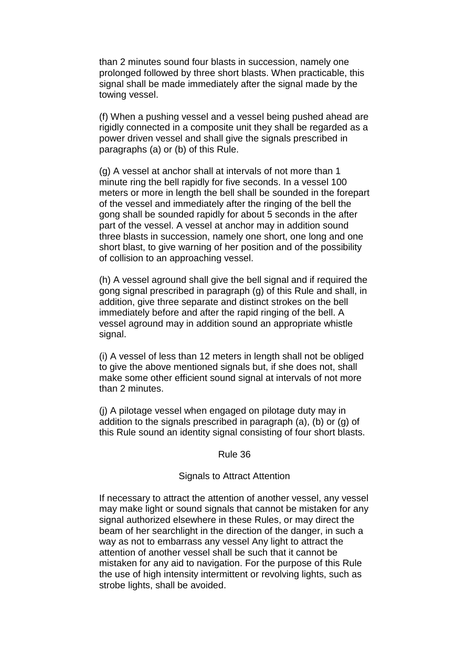than 2 minutes sound four blasts in succession, namely one prolonged followed by three short blasts. When practicable, this signal shall be made immediately after the signal made by the towing vessel.

(f) When a pushing vessel and a vessel being pushed ahead are rigidly connected in a composite unit they shall be regarded as a power driven vessel and shall give the signals prescribed in paragraphs (a) or (b) of this Rule.

(g) A vessel at anchor shall at intervals of not more than 1 minute ring the bell rapidly for five seconds. In a vessel 100 meters or more in length the bell shall be sounded in the forepart of the vessel and immediately after the ringing of the bell the gong shall be sounded rapidly for about 5 seconds in the after part of the vessel. A vessel at anchor may in addition sound three blasts in succession, namely one short, one long and one short blast, to give warning of her position and of the possibility of collision to an approaching vessel.

(h) A vessel aground shall give the bell signal and if required the gong signal prescribed in paragraph (g) of this Rule and shall, in addition, give three separate and distinct strokes on the bell immediately before and after the rapid ringing of the bell. A vessel aground may in addition sound an appropriate whistle signal.

(i) A vessel of less than 12 meters in length shall not be obliged to give the above mentioned signals but, if she does not, shall make some other efficient sound signal at intervals of not more than 2 minutes.

(j) A pilotage vessel when engaged on pilotage duty may in addition to the signals prescribed in paragraph (a), (b) or (g) of this Rule sound an identity signal consisting of four short blasts.

#### Rule 36

#### Signals to Attract Attention

If necessary to attract the attention of another vessel, any vessel may make light or sound signals that cannot be mistaken for any signal authorized elsewhere in these Rules, or may direct the beam of her searchlight in the direction of the danger, in such a way as not to embarrass any vessel Any light to attract the attention of another vessel shall be such that it cannot be mistaken for any aid to navigation. For the purpose of this Rule the use of high intensity intermittent or revolving lights, such as strobe lights, shall be avoided.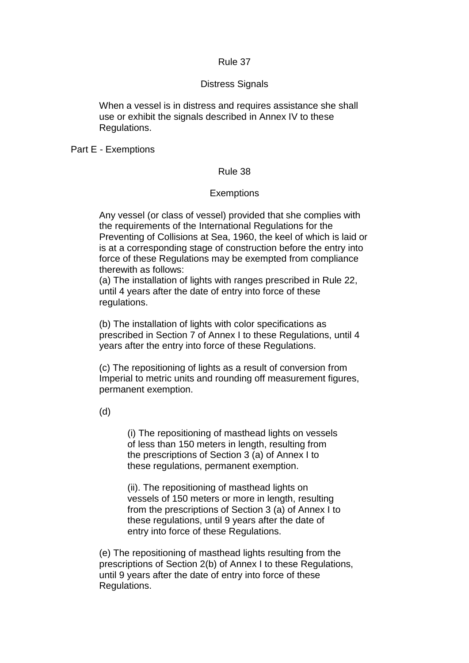# Rule 37

# Distress Signals

When a vessel is in distress and requires assistance she shall use or exhibit the signals described in Annex IV to these Regulations.

Part E - Exemptions

# Rule 38

# **Exemptions**

Any vessel (or class of vessel) provided that she complies with the requirements of the International Regulations for the Preventing of Collisions at Sea, 1960, the keel of which is laid or is at a corresponding stage of construction before the entry into force of these Regulations may be exempted from compliance therewith as follows:

(a) The installation of lights with ranges prescribed in Rule 22, until 4 years after the date of entry into force of these regulations.

(b) The installation of lights with color specifications as prescribed in Section 7 of Annex I to these Regulations, until 4 years after the entry into force of these Regulations.

(c) The repositioning of lights as a result of conversion from Imperial to metric units and rounding off measurement figures, permanent exemption.

(d)

(i) The repositioning of masthead lights on vessels of less than 150 meters in length, resulting from the prescriptions of Section 3 (a) of Annex I to these regulations, permanent exemption.

(ii). The repositioning of masthead lights on vessels of 150 meters or more in length, resulting from the prescriptions of Section 3 (a) of Annex I to these regulations, until 9 years after the date of entry into force of these Regulations.

(e) The repositioning of masthead lights resulting from the prescriptions of Section 2(b) of Annex I to these Regulations, until 9 years after the date of entry into force of these Regulations.